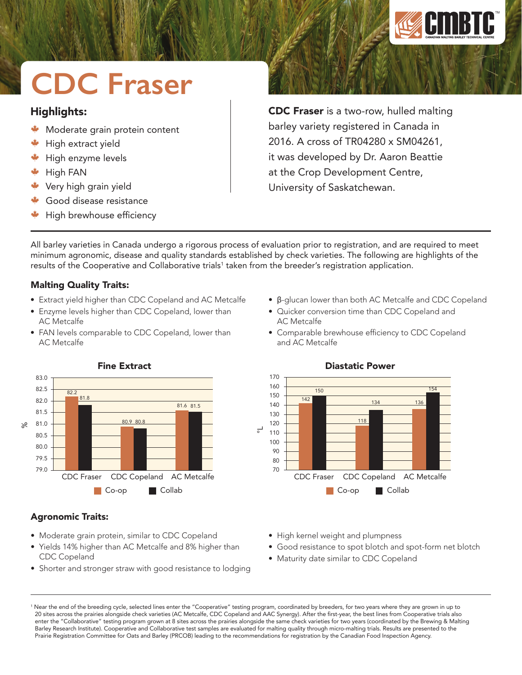

# **CDC Fraser**

# Highlights:

- Moderate grain protein content
- High extract yield
- High enzyme levels
- High FAN
- Very high grain yield
- Good disease resistance
- High brewhouse efficiency

CDC Fraser is a two-row, hulled malting barley variety registered in Canada in 2016. A cross of TR04280 x SM04261, it was developed by Dr. Aaron Beattie at the Crop Development Centre, University of Saskatchewan.

All barley varieties in Canada undergo a rigorous process of evaluation prior to registration, and are required to meet minimum agronomic, disease and quality standards established by check varieties. The following are highlights of the results of the Cooperative and Collaborative trials<sup>1</sup> taken from the breeder's registration application.

## Malting Quality Traits:

- Extract yield higher than CDC Copeland and AC Metcalfe
- Enzyme levels higher than CDC Copeland, lower than AC Metcalfe
- FAN levels comparable to CDC Copeland, lower than AC Metcalfe
- β-glucan lower than both AC Metcalfe and CDC Copeland
- Quicker conversion time than CDC Copeland and AC Metcalfe
- Comparable brewhouse efficiency to CDC Copeland and AC Metcalfe



# Fine Extract

#### CDC Fraser CDC Copeland AC Metcalfe Diastatic Power Co-op **Collab** 170 160 150 140 130 120 110 100  $90$ 80 70  $\overline{\circ}$ 142 150 118 134 136 154

## Agronomic Traits:

- Moderate grain protein, similar to CDC Copeland
- Yields 14% higher than AC Metcalfe and 8% higher than CDC Copeland
- Shorter and stronger straw with good resistance to lodging
- High kernel weight and plumpness
- Good resistance to spot blotch and spot-form net blotch
- Maturity date similar to CDC Copeland

<sup>1</sup> Near the end of the breeding cycle, selected lines enter the "Cooperative" testing program, coordinated by breeders, for two years where they are grown in up to 20 sites across the prairies alongside check varieties (AC Metcalfe, CDC Copeland and AAC Synergy). After the first-year, the best lines from Cooperative trials also enter the "Collaborative" testing program grown at 8 sites across the prairies alongside the same check varieties for two years (coordinated by the Brewing & Malting Barley Research Institute). Cooperative and Collaborative test samples are evaluated for malting quality through micro-malting trials. Results are presented to the Prairie Registration Committee for Oats and Barley (PRCOB) leading to the recommendations for registration by the Canadian Food Inspection Agency.